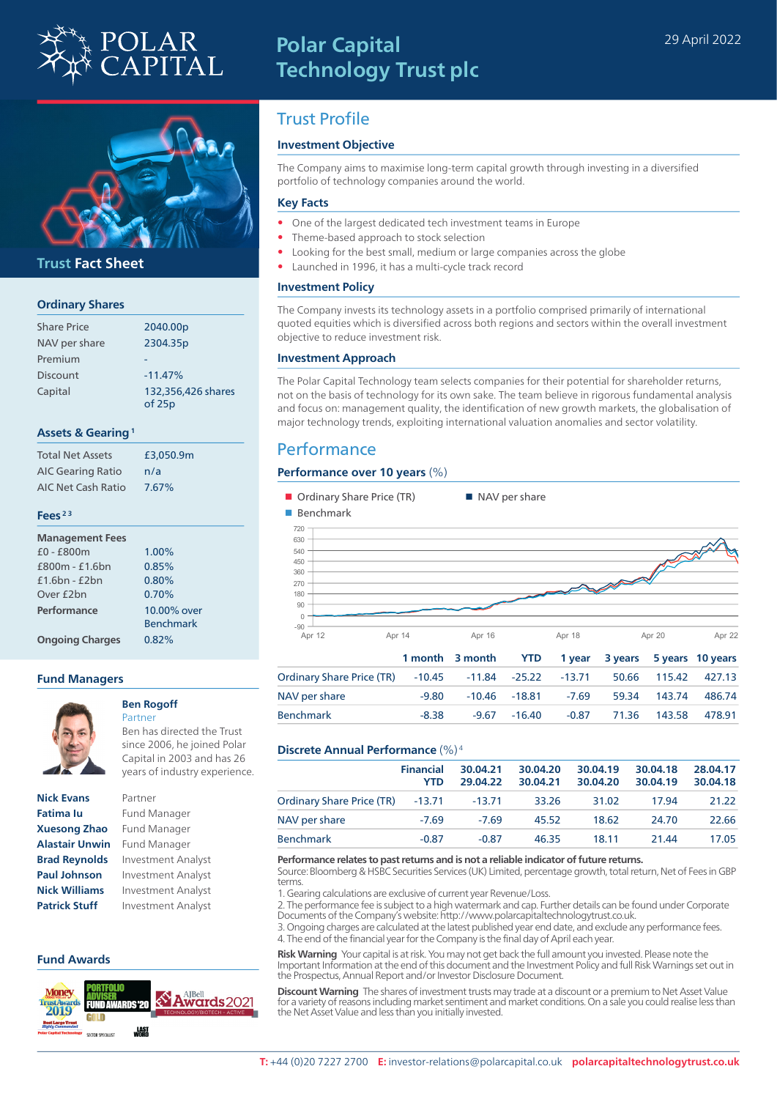

## **Polar Capital Technology Trust plc**



#### **Trust Fact Sheet**

#### **Ordinary Shares**

| <b>Share Price</b> | 2040.00p           |
|--------------------|--------------------|
| NAV per share      | 2304.35p           |
| Premium            |                    |
| <b>Discount</b>    | $-11.47%$          |
| Capital            | 132,356,426 shares |
|                    | of 25p             |

#### **Assets & Gearing 1**

| <b>Total Net Assets</b>  | £3,050.9m |
|--------------------------|-----------|
| <b>AIC Gearing Ratio</b> | n/a       |
| AIC Net Cash Ratio       | 7.67%     |

#### **Fees 2 3**

| <b>Management Fees</b> |                                 |
|------------------------|---------------------------------|
| $£0 - £800m$           | 1.00%                           |
| $f800m - f1.6bn$       | 0.85%                           |
| $f1.6$ hn - $f2$ hn    | 0.80%                           |
| Over £2bn              | 0.70%                           |
| Performance            | 10.00% over<br><b>Benchmark</b> |
|                        |                                 |
| <b>Ongoing Charges</b> | 0.82%                           |

#### **Fund Managers**



#### **Ben Rogoff** Partner

Ben has directed the Trust since 2006, he joined Polar Capital in 2003 and has 26 years of industry experience.

**Nick Evans** Partner **Fatima Iu** Fund Manager **Xuesong Zhao** Fund Manager **Alastair Unwin** Fund Manager **Patrick Stuff** Investment Analyst

# **Brad Reynolds** Investment Analyst **Paul Johnson** Investment Analyst **Nick Williams** Investment Analyst

#### **Fund Awards**



## Trust Profile

#### **Investment Objective**

The Company aims to maximise long-term capital growth through investing in a diversified portfolio of technology companies around the world.

#### **Key Facts**

- One of the largest dedicated tech investment teams in Europe
- Theme-based approach to stock selection
- Looking for the best small, medium or large companies across the globe
- Launched in 1996, it has a multi-cycle track record

#### **Investment Policy**

The Company invests its technology assets in a portfolio comprised primarily of international quoted equities which is diversified across both regions and sectors within the overall investment objective to reduce investment risk.

#### **Investment Approach**

The Polar Capital Technology team selects companies for their potential for shareholder returns, not on the basis of technology for its own sake. The team believe in rigorous fundamental analysis and focus on: management quality, the identification of new growth markets, the globalisation of major technology trends, exploiting international valuation anomalies and sector volatility.

## **Performance**

#### **Performance over 10 years** (%)

| Ordinary Share Price (TR)        |          |          | ■ NAV per share |          |         |         |          |
|----------------------------------|----------|----------|-----------------|----------|---------|---------|----------|
| Benchmark                        |          |          |                 |          |         |         |          |
| 720                              |          |          |                 |          |         |         |          |
| 630                              |          |          |                 |          |         |         |          |
| 540                              |          |          |                 |          |         |         |          |
| 450                              |          |          |                 |          |         |         |          |
| 360                              |          |          |                 |          |         |         |          |
| 270                              |          |          |                 |          |         |         |          |
| 180                              |          |          |                 |          |         |         |          |
| 90                               |          |          |                 |          |         |         |          |
| $\mathbf 0$                      |          |          |                 |          |         |         |          |
| $-90$                            |          |          |                 |          |         |         |          |
| Apr 14<br>Apr 12                 |          | Apr 16   |                 | Apr 18   |         | Apr 20  | Apr 22   |
|                                  | 1 month  | 3 month  | <b>YTD</b>      | 1 year   | 3 years | 5 years | 10 years |
| <b>Ordinary Share Price (TR)</b> | $-10.45$ | $-11.84$ | $-25.22$        | $-13.71$ | 50.66   | 115.42  | 427.13   |
| NAV per share                    | $-9.80$  | $-10.46$ | $-18.81$        | $-7.69$  | 59.34   | 143.74  | 486.74   |
| <b>Benchmark</b>                 | $-8.38$  | $-9.67$  | $-16.40$        | $-0.87$  | 71.36   | 143.58  | 478.91   |

#### **Discrete Annual Performance** (%) 4

|                                  | <b>Financial</b><br><b>YTD</b> | 30.04.21<br>29.04.22 | 30.04.20<br>30.04.21 | 30.04.19<br>30.04.20 | 30.04.18<br>30.04.19 | 28.04.17<br>30.04.18 |
|----------------------------------|--------------------------------|----------------------|----------------------|----------------------|----------------------|----------------------|
| Ordinary Share Price (TR) -13.71 |                                | $-13.71$             | 33.26                | 31.02                | 17.94                | 21.22                |
| NAV per share                    | $-7.69$                        | $-7.69$              | 45.52                | 18.62                | 24.70                | 22.66                |
| <b>Benchmark</b>                 | $-0.87$                        | $-0.87$              | 46.35                | 18.11                | 21.44                | 17.05                |

#### **Performance relates to past returns and is not a reliable indicator of future returns.**

Source: Bloomberg & HSBC Securities Services (UK) Limited, percentage growth, total return, Net of Fees in GBP terms.

1. Gearing calculations are exclusive of current year Revenue/Loss.

2. The performance fee is subject to a high watermark and cap. Further details can be found under Corporate Documents of the Company's website: http://www.polarcapitaltechnologytrust.co.uk.

3. Ongoing charges are calculated at the latest published year end date, and exclude any performance fees. 4. The end of the financial year for the Company is the final day of April each year.

**Risk Warning** Your capital is at risk. You may not get back the full amount you invested. Please note the Important Information at the end of this document and the Investment Policy and full Risk Warnings set out in the Prospectus, Annual Report and/or Investor Disclosure Document.

**Discount Warning** The shares of investment trusts may trade at a discount or a premium to Net Asset Value for a variety of reasons including market sentiment and market conditions. On a sale you could realise less than the Net Asset Value and less than you initially invested.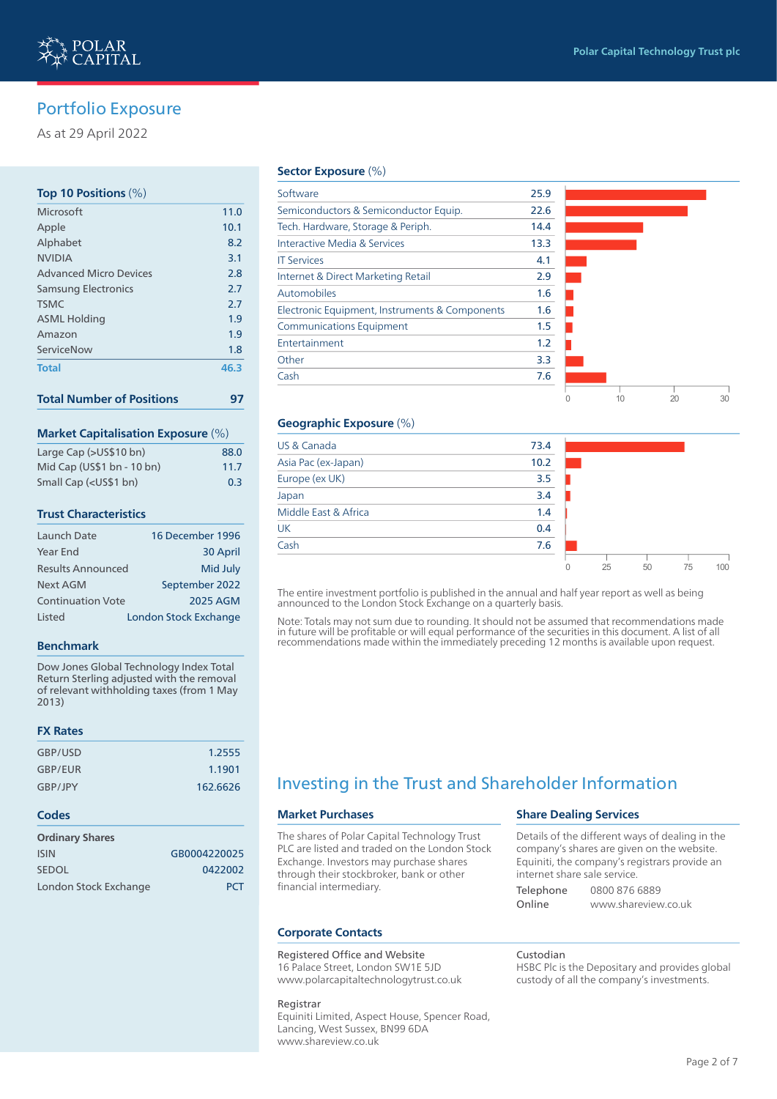0 10 20 30

0 25 50 75 100

٦

## Portfolio Exposure

As at 29 April 2022

#### **Top 10 Positions** (%)

| Microsoft                     | 11.0 |
|-------------------------------|------|
| Apple                         | 10.1 |
| Alphabet                      | 8.2  |
| <b>NVIDIA</b>                 | 3.1  |
| <b>Advanced Micro Devices</b> | 2.8  |
| <b>Samsung Electronics</b>    | 2.7  |
| <b>TSMC</b>                   | 2.7  |
| <b>ASML Holding</b>           | 1.9  |
| Amazon                        | 1.9  |
| ServiceNow                    | 1.8  |
| <b>Total</b>                  | 46.3 |
|                               |      |

| <b>Total Number of Positions</b> |  |  |
|----------------------------------|--|--|
|----------------------------------|--|--|

#### **Market Capitalisation Exposure** (%)

| Large Cap (>US\$10 bn)                                | 88.0 |
|-------------------------------------------------------|------|
| Mid Cap (US\$1 bn - 10 bn)                            | 11.7 |
| Small Cap ( <us\$1 bn)<="" td=""><td>0.3</td></us\$1> | 0.3  |

#### **Trust Characteristics**

| Launch Date              | 16 December 1996      |
|--------------------------|-----------------------|
| Year End                 | 30 April              |
| <b>Results Announced</b> | Mid July              |
| Next AGM                 | September 2022        |
| <b>Continuation Vote</b> | <b>2025 AGM</b>       |
| <b>Listed</b>            | London Stock Exchange |

#### **Benchmark**

Dow Jones Global Technology Index Total Return Sterling adjusted with the removal of relevant withholding taxes (from 1 May 2013)

#### **FX Rates**

| GBP/USD | 1.2555   |
|---------|----------|
| GBP/EUR | 1.1901   |
| GBP/JPY | 162.6626 |

#### **Codes**

| <b>Ordinary Shares</b> |              |
|------------------------|--------------|
| <b>ISIN</b>            | GB0004220025 |
| <b>SEDOL</b>           | 0422002      |
| London Stock Exchange  | <b>PCT</b>   |

#### **Sector Exposure** (%)

| Software                                       | 25.9 |  |  |
|------------------------------------------------|------|--|--|
| Semiconductors & Semiconductor Equip.          | 22.6 |  |  |
| Tech. Hardware, Storage & Periph.              | 14.4 |  |  |
| Interactive Media & Services                   | 13.3 |  |  |
| <b>IT Services</b>                             | 4.1  |  |  |
| Internet & Direct Marketing Retail             | 2.9  |  |  |
| Automobiles                                    | 1.6  |  |  |
| Electronic Equipment, Instruments & Components | 1.6  |  |  |
| <b>Communications Equipment</b>                | 1.5  |  |  |
| Entertainment                                  | 1.2  |  |  |
| Other                                          | 3.3  |  |  |
| Cash                                           | 7.6  |  |  |
|                                                |      |  |  |

#### **Geographic Exposure** (%)

| US & Canada          | 73.4 |  |  |
|----------------------|------|--|--|
| Asia Pac (ex-Japan)  | 10.2 |  |  |
| Europe (ex UK)       | 3.5  |  |  |
| Japan                | 3.4  |  |  |
| Middle East & Africa | 1.4  |  |  |
| <b>UK</b>            | 0.4  |  |  |
| Cash                 | 7.6  |  |  |
|                      |      |  |  |

The entire investment portfolio is published in the annual and half year report as well as being announced to the London Stock Exchange on a quarterly basis.

Note: Totals may not sum due to rounding. It should not be assumed that recommendations made in future will be profitable or will equal performance of the securities in this document. A list of all recommendations made within the immediately preceding 12 months is available upon request.

## Investing in the Trust and Shareholder Information

#### **Market Purchases**

The shares of Polar Capital Technology Trust PLC are listed and traded on the London Stock Exchange. Investors may purchase shares through their stockbroker, bank or other financial intermediary.

#### **Corporate Contacts**

#### Registered Office and Website

16 Palace Street, London SW1E 5JD www.polarcapitaltechnologytrust.co.uk

Registrar Equiniti Limited, Aspect House, Spencer Road, Lancing, West Sussex, BN99 6DA www.shareview.co.uk

#### **Share Dealing Services**

Details of the different ways of dealing in the company's shares are given on the website. Equiniti, the company's registrars provide an internet share sale service.

Telephone 0800 876 6889 Online www.shareview.co.uk

Custodian

HSBC Plc is the Depositary and provides global custody of all the company's investments.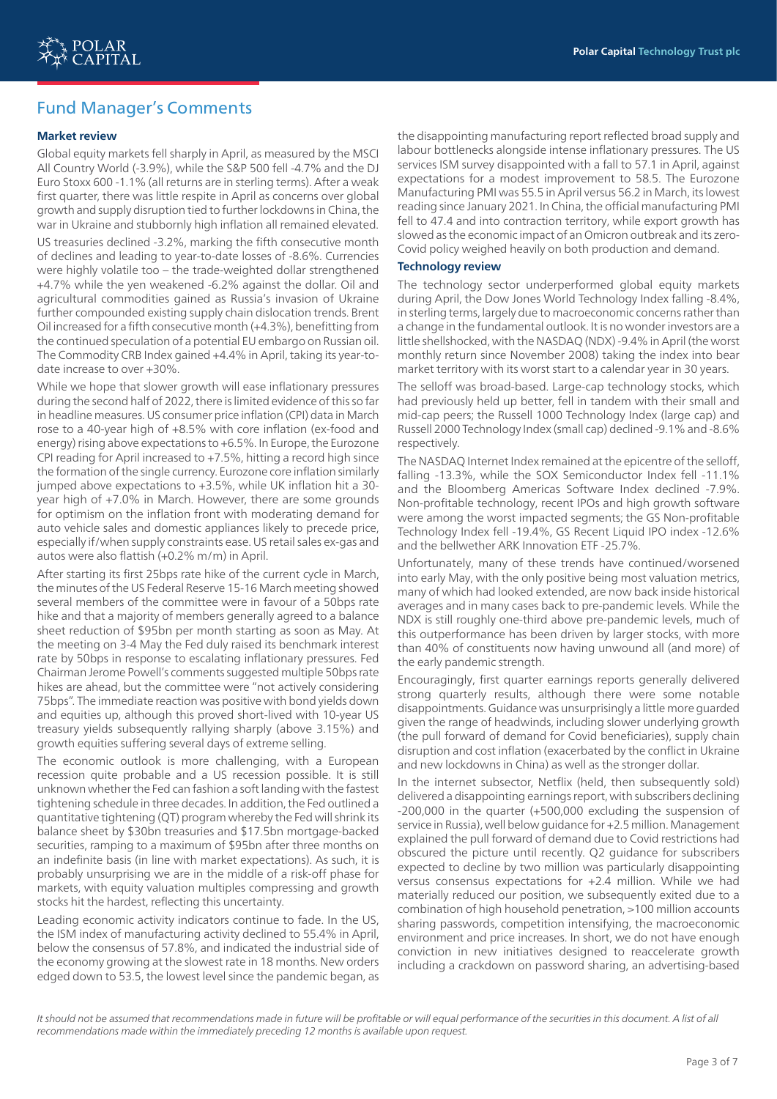## Fund Manager's Comments

#### **Market review**

Global equity markets fell sharply in April, as measured by the MSCI All Country World (-3.9%), while the S&P 500 fell -4.7% and the DJ Euro Stoxx 600 -1.1% (all returns are in sterling terms). After a weak first quarter, there was little respite in April as concerns over global growth and supply disruption tied to further lockdowns in China, the war in Ukraine and stubbornly high inflation all remained elevated.

US treasuries declined -3.2%, marking the fifth consecutive month of declines and leading to year-to-date losses of -8.6%. Currencies were highly volatile too – the trade-weighted dollar strengthened +4.7% while the yen weakened -6.2% against the dollar. Oil and agricultural commodities gained as Russia's invasion of Ukraine further compounded existing supply chain dislocation trends. Brent Oil increased for a fifth consecutive month (+4.3%), benefitting from the continued speculation of a potential EU embargo on Russian oil. The Commodity CRB Index gained +4.4% in April, taking its year-todate increase to over +30%.

While we hope that slower growth will ease inflationary pressures during the second half of 2022, there is limited evidence of this so far in headline measures. US consumer price inflation (CPI) data in March rose to a 40-year high of +8.5% with core inflation (ex-food and energy) rising above expectations to +6.5%. In Europe, the Eurozone CPI reading for April increased to +7.5%, hitting a record high since the formation of the single currency. Eurozone core inflation similarly jumped above expectations to +3.5%, while UK inflation hit a 30 year high of +7.0% in March. However, there are some grounds for optimism on the inflation front with moderating demand for auto vehicle sales and domestic appliances likely to precede price, especially if/when supply constraints ease. US retail sales ex-gas and autos were also flattish (+0.2% m/m) in April.

After starting its first 25bps rate hike of the current cycle in March, the minutes of the US Federal Reserve 15-16 March meeting showed several members of the committee were in favour of a 50bps rate hike and that a majority of members generally agreed to a balance sheet reduction of \$95bn per month starting as soon as May. At the meeting on 3-4 May the Fed duly raised its benchmark interest rate by 50bps in response to escalating inflationary pressures. Fed Chairman Jerome Powell's comments suggested multiple 50bps rate hikes are ahead, but the committee were "not actively considering 75bps". The immediate reaction was positive with bond yields down and equities up, although this proved short-lived with 10-year US treasury yields subsequently rallying sharply (above 3.15%) and growth equities suffering several days of extreme selling.

The economic outlook is more challenging, with a European recession quite probable and a US recession possible. It is still unknown whether the Fed can fashion a soft landing with the fastest tightening schedule in three decades. In addition, the Fed outlined a quantitative tightening (QT) program whereby the Fed will shrink its balance sheet by \$30bn treasuries and \$17.5bn mortgage-backed securities, ramping to a maximum of \$95bn after three months on an indefinite basis (in line with market expectations). As such, it is probably unsurprising we are in the middle of a risk-off phase for markets, with equity valuation multiples compressing and growth stocks hit the hardest, reflecting this uncertainty.

Leading economic activity indicators continue to fade. In the US, the ISM index of manufacturing activity declined to 55.4% in April, below the consensus of 57.8%, and indicated the industrial side of the economy growing at the slowest rate in 18 months. New orders edged down to 53.5, the lowest level since the pandemic began, as

the disappointing manufacturing report reflected broad supply and labour bottlenecks alongside intense inflationary pressures. The US services ISM survey disappointed with a fall to 57.1 in April, against expectations for a modest improvement to 58.5. The Eurozone Manufacturing PMI was 55.5 in April versus 56.2 in March, its lowest reading since January 2021. In China, the official manufacturing PMI fell to 47.4 and into contraction territory, while export growth has slowed as the economic impact of an Omicron outbreak and its zero-Covid policy weighed heavily on both production and demand.

#### **Technology review**

The technology sector underperformed global equity markets during April, the Dow Jones World Technology Index falling -8.4%, in sterling terms, largely due to macroeconomic concerns rather than a change in the fundamental outlook. It is no wonder investors are a little shellshocked, with the NASDAQ (NDX) -9.4% in April (the worst monthly return since November 2008) taking the index into bear market territory with its worst start to a calendar year in 30 years.

The selloff was broad-based. Large-cap technology stocks, which had previously held up better, fell in tandem with their small and mid-cap peers; the Russell 1000 Technology Index (large cap) and Russell 2000 Technology Index (small cap) declined -9.1% and -8.6% respectively.

The NASDAQ Internet Index remained at the epicentre of the selloff, falling -13.3%, while the SOX Semiconductor Index fell -11.1% and the Bloomberg Americas Software Index declined -7.9%. Non-profitable technology, recent IPOs and high growth software were among the worst impacted segments; the GS Non-profitable Technology Index fell -19.4%, GS Recent Liquid IPO index -12.6% and the bellwether ARK Innovation ETF -25.7%.

Unfortunately, many of these trends have continued/worsened into early May, with the only positive being most valuation metrics, many of which had looked extended, are now back inside historical averages and in many cases back to pre-pandemic levels. While the NDX is still roughly one-third above pre-pandemic levels, much of this outperformance has been driven by larger stocks, with more than 40% of constituents now having unwound all (and more) of the early pandemic strength.

Encouragingly, first quarter earnings reports generally delivered strong quarterly results, although there were some notable disappointments. Guidance was unsurprisingly a little more guarded given the range of headwinds, including slower underlying growth (the pull forward of demand for Covid beneficiaries), supply chain disruption and cost inflation (exacerbated by the conflict in Ukraine and new lockdowns in China) as well as the stronger dollar.

In the internet subsector, Netflix (held, then subsequently sold) delivered a disappointing earnings report, with subscribers declining -200,000 in the quarter (+500,000 excluding the suspension of service in Russia), well below guidance for +2.5 million. Management explained the pull forward of demand due to Covid restrictions had obscured the picture until recently. Q2 guidance for subscribers expected to decline by two million was particularly disappointing versus consensus expectations for +2.4 million. While we had materially reduced our position, we subsequently exited due to a combination of high household penetration, >100 million accounts sharing passwords, competition intensifying, the macroeconomic environment and price increases. In short, we do not have enough conviction in new initiatives designed to reaccelerate growth including a crackdown on password sharing, an advertising-based

It should not be assumed that recommendations made in future will be profitable or will equal performance of the securities in this document. A list of all *recommendations made within the immediately preceding 12 months is available upon request.*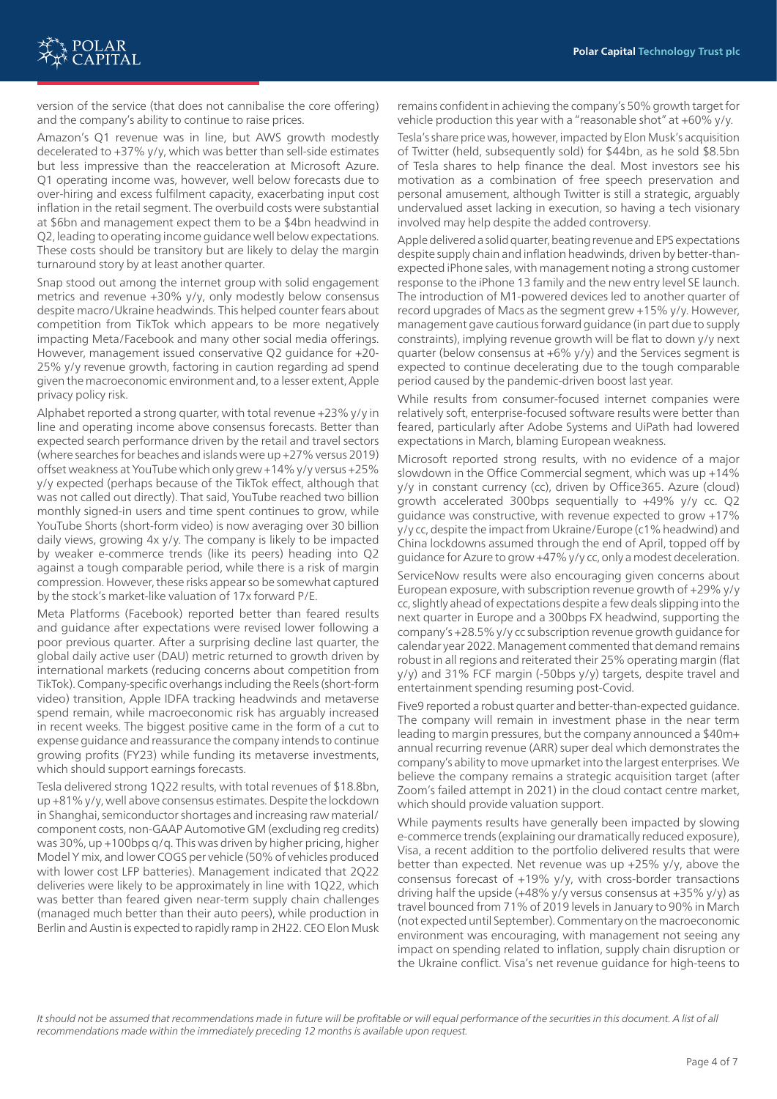

version of the service (that does not cannibalise the core offering) and the company's ability to continue to raise prices.

Amazon's Q1 revenue was in line, but AWS growth modestly decelerated to +37% y/y, which was better than sell-side estimates but less impressive than the reacceleration at Microsoft Azure. Q1 operating income was, however, well below forecasts due to over-hiring and excess fulfilment capacity, exacerbating input cost inflation in the retail segment. The overbuild costs were substantial at \$6bn and management expect them to be a \$4bn headwind in Q2, leading to operating income guidance well below expectations. These costs should be transitory but are likely to delay the margin turnaround story by at least another quarter.

Snap stood out among the internet group with solid engagement metrics and revenue +30% y/y, only modestly below consensus despite macro/Ukraine headwinds. This helped counter fears about competition from TikTok which appears to be more negatively impacting Meta/Facebook and many other social media offerings. However, management issued conservative Q2 guidance for +20- 25% y/y revenue growth, factoring in caution regarding ad spend given the macroeconomic environment and, to a lesser extent, Apple privacy policy risk.

Alphabet reported a strong quarter, with total revenue +23% y/y in line and operating income above consensus forecasts. Better than expected search performance driven by the retail and travel sectors (where searches for beaches and islands were up +27% versus 2019) offset weakness at YouTube which only grew +14% y/y versus +25% y/y expected (perhaps because of the TikTok effect, although that was not called out directly). That said, YouTube reached two billion monthly signed-in users and time spent continues to grow, while YouTube Shorts (short-form video) is now averaging over 30 billion daily views, growing 4x y/y. The company is likely to be impacted by weaker e-commerce trends (like its peers) heading into Q2 against a tough comparable period, while there is a risk of margin compression. However, these risks appear so be somewhat captured by the stock's market-like valuation of 17x forward P/E.

Meta Platforms (Facebook) reported better than feared results and guidance after expectations were revised lower following a poor previous quarter. After a surprising decline last quarter, the global daily active user (DAU) metric returned to growth driven by international markets (reducing concerns about competition from TikTok). Company-specific overhangs including the Reels (short-form video) transition, Apple IDFA tracking headwinds and metaverse spend remain, while macroeconomic risk has arguably increased in recent weeks. The biggest positive came in the form of a cut to expense guidance and reassurance the company intends to continue growing profits (FY23) while funding its metaverse investments, which should support earnings forecasts.

Tesla delivered strong 1Q22 results, with total revenues of \$18.8bn, up +81% y/y, well above consensus estimates. Despite the lockdown in Shanghai, semiconductor shortages and increasing raw material/ component costs, non-GAAP Automotive GM (excluding reg credits) was 30%, up +100bps q/q. This was driven by higher pricing, higher Model Y mix, and lower COGS per vehicle (50% of vehicles produced with lower cost LFP batteries). Management indicated that 2Q22 deliveries were likely to be approximately in line with 1Q22, which was better than feared given near-term supply chain challenges (managed much better than their auto peers), while production in Berlin and Austin is expected to rapidly ramp in 2H22. CEO Elon Musk remains confident in achieving the company's 50% growth target for vehicle production this year with a "reasonable shot" at +60% y/y.

Tesla's share price was, however, impacted by Elon Musk's acquisition of Twitter (held, subsequently sold) for \$44bn, as he sold \$8.5bn of Tesla shares to help finance the deal. Most investors see his motivation as a combination of free speech preservation and personal amusement, although Twitter is still a strategic, arguably undervalued asset lacking in execution, so having a tech visionary involved may help despite the added controversy.

Apple delivered a solid quarter, beating revenue and EPS expectations despite supply chain and inflation headwinds, driven by better-thanexpected iPhone sales, with management noting a strong customer response to the iPhone 13 family and the new entry level SE launch. The introduction of M1-powered devices led to another quarter of record upgrades of Macs as the segment grew +15% y/y. However, management gave cautious forward guidance (in part due to supply constraints), implying revenue growth will be flat to down y/y next quarter (below consensus at +6% y/y) and the Services segment is expected to continue decelerating due to the tough comparable period caused by the pandemic-driven boost last year.

While results from consumer-focused internet companies were relatively soft, enterprise-focused software results were better than feared, particularly after Adobe Systems and UiPath had lowered expectations in March, blaming European weakness.

Microsoft reported strong results, with no evidence of a major slowdown in the Office Commercial segment, which was up +14% y/y in constant currency (cc), driven by Office365. Azure (cloud) growth accelerated 300bps sequentially to +49% y/y cc. Q2 guidance was constructive, with revenue expected to grow +17% y/y cc, despite the impact from Ukraine/Europe (c1% headwind) and China lockdowns assumed through the end of April, topped off by guidance for Azure to grow +47% y/y cc, only a modest deceleration.

ServiceNow results were also encouraging given concerns about European exposure, with subscription revenue growth of +29% y/y cc, slightly ahead of expectations despite a few deals slipping into the next quarter in Europe and a 300bps FX headwind, supporting the company's +28.5% y/y cc subscription revenue growth guidance for calendar year 2022. Management commented that demand remains robust in all regions and reiterated their 25% operating margin (flat y/y) and 31% FCF margin (-50bps y/y) targets, despite travel and entertainment spending resuming post-Covid.

Five9 reported a robust quarter and better-than-expected guidance. The company will remain in investment phase in the near term leading to margin pressures, but the company announced a \$40m+ annual recurring revenue (ARR) super deal which demonstrates the company's ability to move upmarket into the largest enterprises. We believe the company remains a strategic acquisition target (after Zoom's failed attempt in 2021) in the cloud contact centre market, which should provide valuation support.

While payments results have generally been impacted by slowing e-commerce trends (explaining our dramatically reduced exposure), Visa, a recent addition to the portfolio delivered results that were better than expected. Net revenue was up +25% y/y, above the consensus forecast of +19% y/y, with cross-border transactions driving half the upside  $(+48\% \text{ y/y}$  versus consensus at  $+35\% \text{ y/y}$  as travel bounced from 71% of 2019 levels in January to 90% in March (not expected until September). Commentary on the macroeconomic environment was encouraging, with management not seeing any impact on spending related to inflation, supply chain disruption or the Ukraine conflict. Visa's net revenue guidance for high-teens to

It should not be assumed that recommendations made in future will be profitable or will equal performance of the securities in this document. A list of all *recommendations made within the immediately preceding 12 months is available upon request.*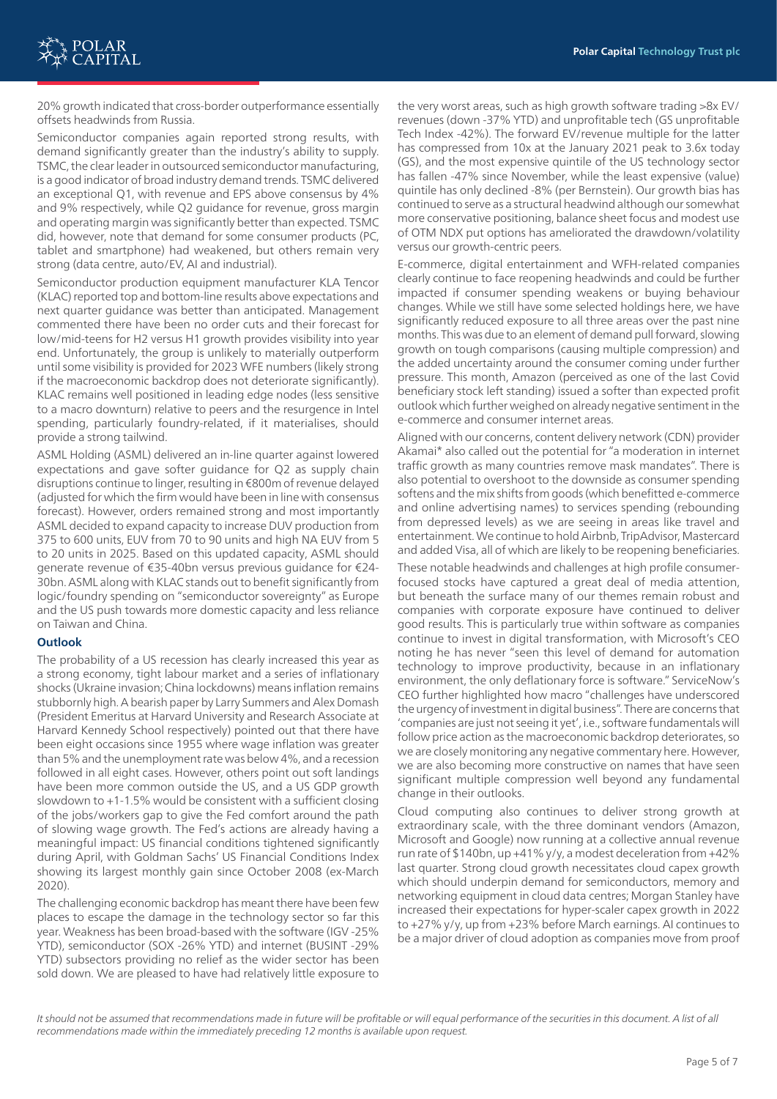20% growth indicated that cross-border outperformance essentially offsets headwinds from Russia.

Semiconductor companies again reported strong results, with demand significantly greater than the industry's ability to supply. TSMC, the clear leader in outsourced semiconductor manufacturing, is a good indicator of broad industry demand trends. TSMC delivered an exceptional Q1, with revenue and EPS above consensus by 4% and 9% respectively, while Q2 guidance for revenue, gross margin and operating margin was significantly better than expected. TSMC did, however, note that demand for some consumer products (PC, tablet and smartphone) had weakened, but others remain very strong (data centre, auto/EV, AI and industrial).

Semiconductor production equipment manufacturer KLA Tencor (KLAC) reported top and bottom-line results above expectations and next quarter guidance was better than anticipated. Management commented there have been no order cuts and their forecast for low/mid-teens for H2 versus H1 growth provides visibility into year end. Unfortunately, the group is unlikely to materially outperform until some visibility is provided for 2023 WFE numbers (likely strong if the macroeconomic backdrop does not deteriorate significantly). KLAC remains well positioned in leading edge nodes (less sensitive to a macro downturn) relative to peers and the resurgence in Intel spending, particularly foundry-related, if it materialises, should provide a strong tailwind.

ASML Holding (ASML) delivered an in-line quarter against lowered expectations and gave softer guidance for Q2 as supply chain disruptions continue to linger, resulting in €800m of revenue delayed (adjusted for which the firm would have been in line with consensus forecast). However, orders remained strong and most importantly ASML decided to expand capacity to increase DUV production from 375 to 600 units, EUV from 70 to 90 units and high NA EUV from 5 to 20 units in 2025. Based on this updated capacity, ASML should generate revenue of €35-40bn versus previous guidance for €24- 30bn. ASML along with KLAC stands out to benefit significantly from logic/foundry spending on "semiconductor sovereignty" as Europe and the US push towards more domestic capacity and less reliance on Taiwan and China.

#### **Outlook**

The probability of a US recession has clearly increased this year as a strong economy, tight labour market and a series of inflationary shocks (Ukraine invasion; China lockdowns) means inflation remains stubbornly high. A bearish paper by Larry Summers and Alex Domash (President Emeritus at Harvard University and Research Associate at Harvard Kennedy School respectively) pointed out that there have been eight occasions since 1955 where wage inflation was greater than 5% and the unemployment rate was below 4%, and a recession followed in all eight cases. However, others point out soft landings have been more common outside the US, and a US GDP growth slowdown to  $+1-1.5\%$  would be consistent with a sufficient closing of the jobs/workers gap to give the Fed comfort around the path of slowing wage growth. The Fed's actions are already having a meaningful impact: US financial conditions tightened significantly during April, with Goldman Sachs' US Financial Conditions Index showing its largest monthly gain since October 2008 (ex-March 2020).

The challenging economic backdrop has meant there have been few places to escape the damage in the technology sector so far this year. Weakness has been broad-based with the software (IGV -25% YTD), semiconductor (SOX -26% YTD) and internet (BUSINT -29% YTD) subsectors providing no relief as the wider sector has been sold down. We are pleased to have had relatively little exposure to

the very worst areas, such as high growth software trading >8x EV/ revenues (down -37% YTD) and unprofitable tech (GS unprofitable Tech Index -42%). The forward EV/revenue multiple for the latter has compressed from 10x at the January 2021 peak to 3.6x today (GS), and the most expensive quintile of the US technology sector has fallen -47% since November, while the least expensive (value) quintile has only declined -8% (per Bernstein). Our growth bias has continued to serve as a structural headwind although our somewhat more conservative positioning, balance sheet focus and modest use of OTM NDX put options has ameliorated the drawdown/volatility versus our growth-centric peers.

E-commerce, digital entertainment and WFH-related companies clearly continue to face reopening headwinds and could be further impacted if consumer spending weakens or buying behaviour changes. While we still have some selected holdings here, we have significantly reduced exposure to all three areas over the past nine months. This was due to an element of demand pull forward, slowing growth on tough comparisons (causing multiple compression) and the added uncertainty around the consumer coming under further pressure. This month, Amazon (perceived as one of the last Covid beneficiary stock left standing) issued a softer than expected profit outlook which further weighed on already negative sentiment in the e-commerce and consumer internet areas.

Aligned with our concerns, content delivery network (CDN) provider Akamai\* also called out the potential for "a moderation in internet traffic growth as many countries remove mask mandates". There is also potential to overshoot to the downside as consumer spending softens and the mix shifts from goods (which benefitted e-commerce and online advertising names) to services spending (rebounding from depressed levels) as we are seeing in areas like travel and entertainment. We continue to hold Airbnb, TripAdvisor, Mastercard and added Visa, all of which are likely to be reopening beneficiaries.

These notable headwinds and challenges at high profile consumerfocused stocks have captured a great deal of media attention, but beneath the surface many of our themes remain robust and companies with corporate exposure have continued to deliver good results. This is particularly true within software as companies continue to invest in digital transformation, with Microsoft's CEO noting he has never "seen this level of demand for automation technology to improve productivity, because in an inflationary environment, the only deflationary force is software." ServiceNow's CEO further highlighted how macro "challenges have underscored the urgency of investment in digital business". There are concerns that 'companies are just not seeing it yet', i.e., software fundamentals will follow price action as the macroeconomic backdrop deteriorates, so we are closely monitoring any negative commentary here. However, we are also becoming more constructive on names that have seen significant multiple compression well beyond any fundamental change in their outlooks.

Cloud computing also continues to deliver strong growth at extraordinary scale, with the three dominant vendors (Amazon, Microsoft and Google) now running at a collective annual revenue run rate of \$140bn, up +41% y/y, a modest deceleration from +42% last quarter. Strong cloud growth necessitates cloud capex growth which should underpin demand for semiconductors, memory and networking equipment in cloud data centres; Morgan Stanley have increased their expectations for hyper-scaler capex growth in 2022 to +27% y/y, up from +23% before March earnings. AI continues to be a major driver of cloud adoption as companies move from proof

It should not be assumed that recommendations made in future will be profitable or will equal performance of the securities in this document. A list of all *recommendations made within the immediately preceding 12 months is available upon request.*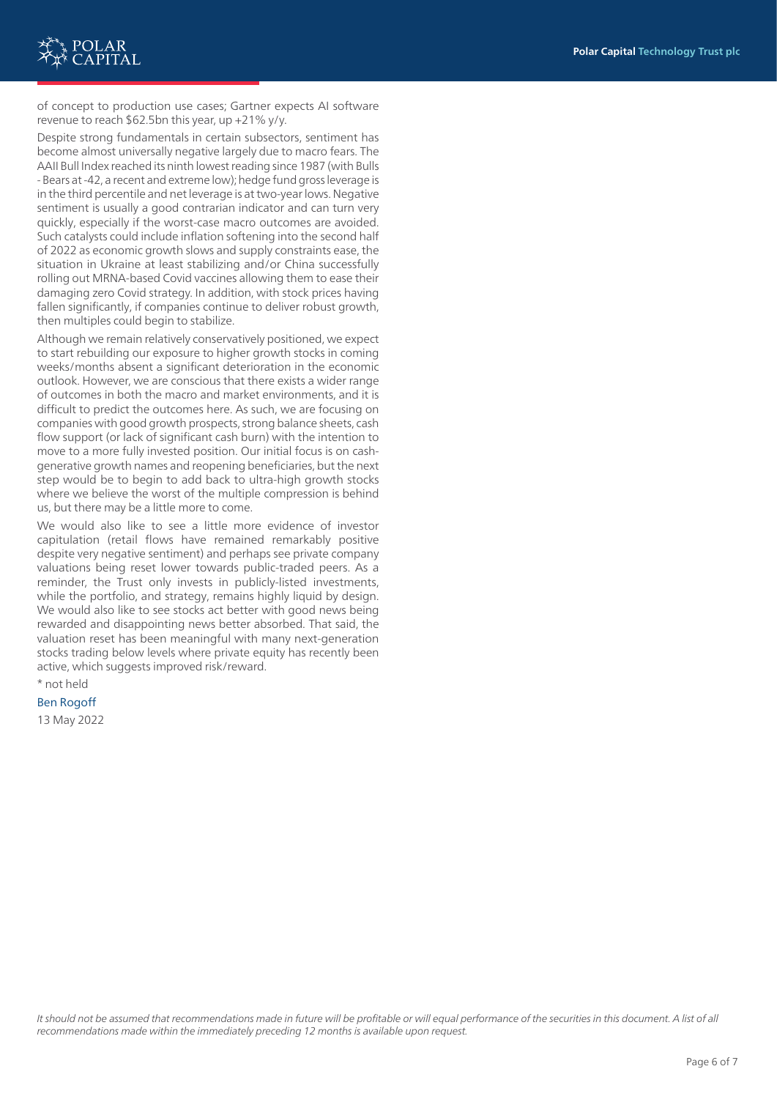

of concept to production use cases; Gartner expects AI software revenue to reach \$62.5bn this year, up +21% y/y.

Despite strong fundamentals in certain subsectors, sentiment has become almost universally negative largely due to macro fears. The AAII Bull Index reached its ninth lowest reading since 1987 (with Bulls - Bears at -42, a recent and extreme low); hedge fund gross leverage is in the third percentile and net leverage is at two-year lows. Negative sentiment is usually a good contrarian indicator and can turn very quickly, especially if the worst-case macro outcomes are avoided. Such catalysts could include inflation softening into the second half of 2022 as economic growth slows and supply constraints ease, the situation in Ukraine at least stabilizing and/or China successfully rolling out MRNA-based Covid vaccines allowing them to ease their damaging zero Covid strategy. In addition, with stock prices having fallen significantly, if companies continue to deliver robust growth, then multiples could begin to stabilize.

Although we remain relatively conservatively positioned, we expect to start rebuilding our exposure to higher growth stocks in coming weeks/months absent a significant deterioration in the economic outlook. However, we are conscious that there exists a wider range of outcomes in both the macro and market environments, and it is difficult to predict the outcomes here. As such, we are focusing on companies with good growth prospects, strong balance sheets, cash flow support (or lack of significant cash burn) with the intention to move to a more fully invested position. Our initial focus is on cashgenerative growth names and reopening beneficiaries, but the next step would be to begin to add back to ultra-high growth stocks where we believe the worst of the multiple compression is behind us, but there may be a little more to come.

We would also like to see a little more evidence of investor capitulation (retail flows have remained remarkably positive despite very negative sentiment) and perhaps see private company valuations being reset lower towards public-traded peers. As a reminder, the Trust only invests in publicly-listed investments, while the portfolio, and strategy, remains highly liquid by design. We would also like to see stocks act better with good news being rewarded and disappointing news better absorbed. That said, the valuation reset has been meaningful with many next-generation stocks trading below levels where private equity has recently been active, which suggests improved risk/reward.

#### \* not held

## Ben Rogoff

13 May 2022